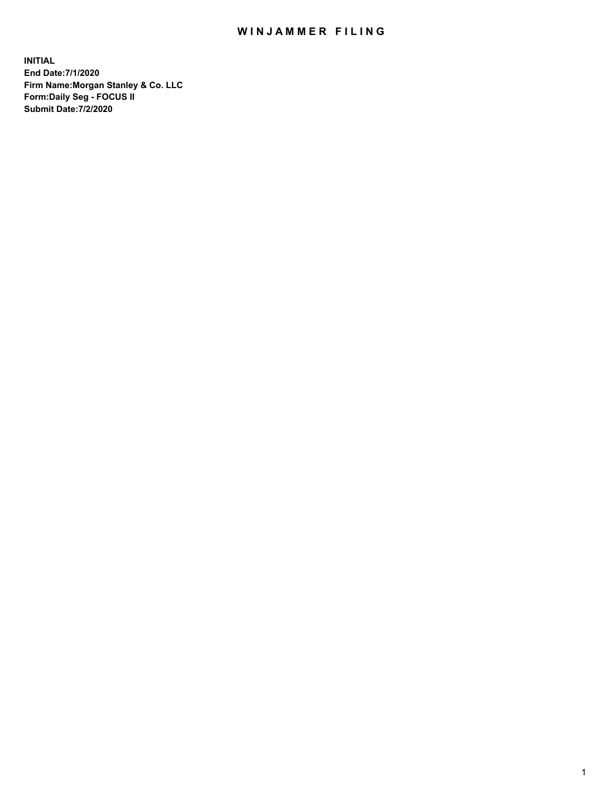## WIN JAMMER FILING

**INITIAL End Date:7/1/2020 Firm Name:Morgan Stanley & Co. LLC Form:Daily Seg - FOCUS II Submit Date:7/2/2020**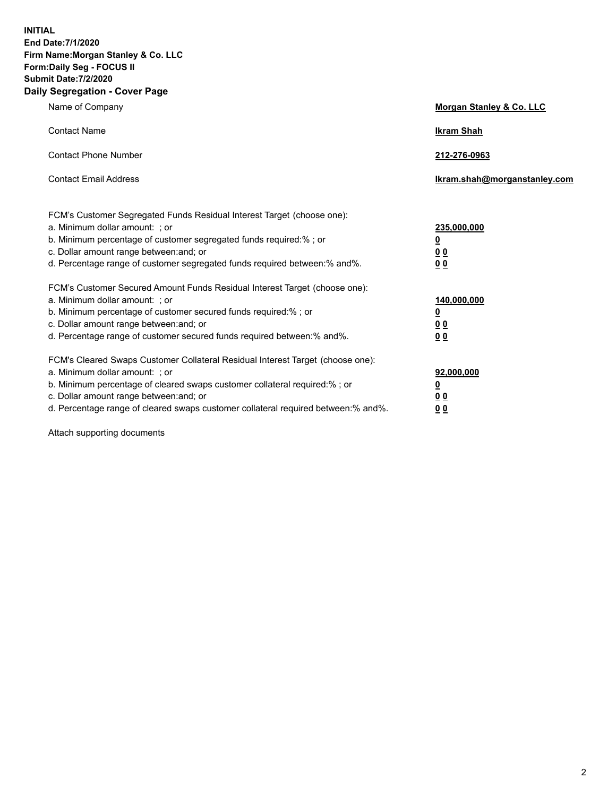**INITIAL End Date:7/1/2020 Firm Name:Morgan Stanley & Co. LLC Form:Daily Seg - FOCUS II Submit Date:7/2/2020 Daily Segregation - Cover Page**

| Name of Company                                                                   | Morgan Stanley & Co. LLC     |
|-----------------------------------------------------------------------------------|------------------------------|
| <b>Contact Name</b>                                                               | <b>Ikram Shah</b>            |
| <b>Contact Phone Number</b>                                                       | 212-276-0963                 |
| <b>Contact Email Address</b>                                                      | Ikram.shah@morganstanley.com |
| FCM's Customer Segregated Funds Residual Interest Target (choose one):            |                              |
| a. Minimum dollar amount: ; or                                                    | 235,000,000                  |
| b. Minimum percentage of customer segregated funds required:% ; or                | <u>0</u>                     |
| c. Dollar amount range between: and; or                                           | <u>0 0</u>                   |
| d. Percentage range of customer segregated funds required between: % and %.       | 0 Q                          |
| FCM's Customer Secured Amount Funds Residual Interest Target (choose one):        |                              |
| a. Minimum dollar amount: ; or                                                    | 140,000,000                  |
| b. Minimum percentage of customer secured funds required:%; or                    | <u>0</u>                     |
| c. Dollar amount range between: and; or                                           | <u>00</u>                    |
| d. Percentage range of customer secured funds required between:% and%.            | 0 <sup>0</sup>               |
| FCM's Cleared Swaps Customer Collateral Residual Interest Target (choose one):    |                              |
| a. Minimum dollar amount: ; or                                                    | 92,000,000                   |
| b. Minimum percentage of cleared swaps customer collateral required:% ; or        | <u>0</u>                     |
| c. Dollar amount range between: and; or                                           | 0 Q                          |
| d. Percentage range of cleared swaps customer collateral required between:% and%. | 00                           |
|                                                                                   |                              |

Attach supporting documents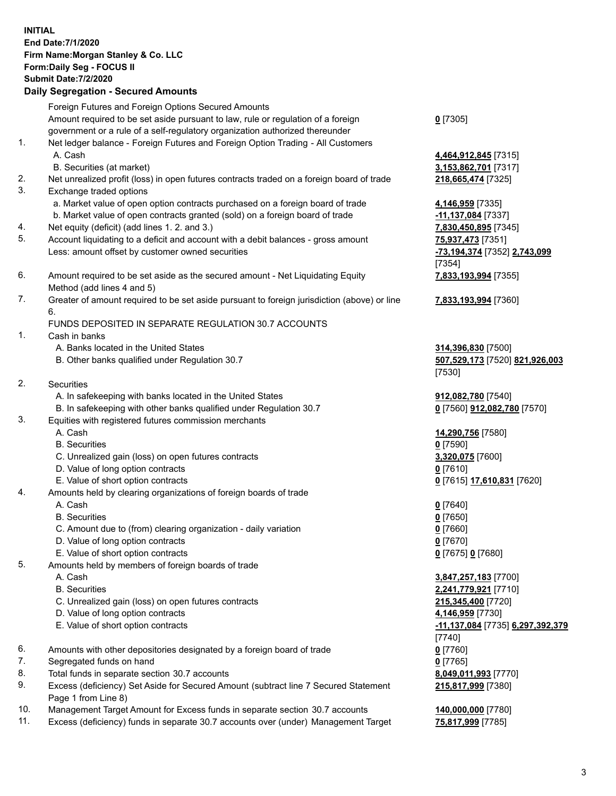| <b>INITIAL</b> | End Date: 7/1/2020<br>Firm Name: Morgan Stanley & Co. LLC<br>Form: Daily Seg - FOCUS II<br><b>Submit Date: 7/2/2020</b><br><b>Daily Segregation - Secured Amounts</b>                                                   |                                                                       |
|----------------|-------------------------------------------------------------------------------------------------------------------------------------------------------------------------------------------------------------------------|-----------------------------------------------------------------------|
|                | Foreign Futures and Foreign Options Secured Amounts<br>Amount required to be set aside pursuant to law, rule or regulation of a foreign<br>government or a rule of a self-regulatory organization authorized thereunder | $0$ [7305]                                                            |
| 1.             | Net ledger balance - Foreign Futures and Foreign Option Trading - All Customers<br>A. Cash                                                                                                                              | 4,464,912,845 [7315]                                                  |
| 2.<br>3.       | B. Securities (at market)<br>Net unrealized profit (loss) in open futures contracts traded on a foreign board of trade<br>Exchange traded options                                                                       | 3,153,862,701 [7317]<br>218,665,474 [7325]                            |
| 4.             | a. Market value of open option contracts purchased on a foreign board of trade<br>b. Market value of open contracts granted (sold) on a foreign board of trade<br>Net equity (deficit) (add lines 1.2. and 3.)          | 4,146,959 [7335]<br>-11,137,084 [7337]<br>7,830,450,895 [7345]        |
| 5.             | Account liquidating to a deficit and account with a debit balances - gross amount<br>Less: amount offset by customer owned securities                                                                                   | 75,937,473 [7351]<br>-73,194,374 [7352] 2,743,099<br>[7354]           |
| 6.             | Amount required to be set aside as the secured amount - Net Liquidating Equity<br>Method (add lines 4 and 5)                                                                                                            | 7,833,193,994 [7355]                                                  |
| 7.             | Greater of amount required to be set aside pursuant to foreign jurisdiction (above) or line<br>6.                                                                                                                       | 7,833,193,994 [7360]                                                  |
| 1.             | FUNDS DEPOSITED IN SEPARATE REGULATION 30.7 ACCOUNTS<br>Cash in banks                                                                                                                                                   |                                                                       |
|                | A. Banks located in the United States<br>B. Other banks qualified under Regulation 30.7                                                                                                                                 | 314,396,830 [7500]<br>507,529,173 [7520] 821,926,003<br>[7530]        |
| 2.             | Securities<br>A. In safekeeping with banks located in the United States                                                                                                                                                 | 912,082,780 [7540]                                                    |
| 3.             | B. In safekeeping with other banks qualified under Regulation 30.7<br>Equities with registered futures commission merchants                                                                                             | 0 [7560] 912,082,780 [7570]                                           |
|                | A. Cash<br><b>B.</b> Securities                                                                                                                                                                                         | 14,290,756 [7580]<br>$0$ [7590]                                       |
|                | C. Unrealized gain (loss) on open futures contracts<br>D. Value of long option contracts                                                                                                                                | 3,320,075 [7600]<br>$0$ [7610]                                        |
| 4.             | E. Value of short option contracts<br>Amounts held by clearing organizations of foreign boards of trade                                                                                                                 | 0 [7615] 17,610,831 [7620]                                            |
|                | A. Cash<br><b>B.</b> Securities<br>C. Amount due to (from) clearing organization - daily variation<br>D. Value of long option contracts                                                                                 | $0$ [7640]<br>$0$ [7650]<br>$0$ [7660]<br>$0$ [7670]                  |
| 5.             | E. Value of short option contracts<br>Amounts held by members of foreign boards of trade                                                                                                                                | 0 [7675] 0 [7680]                                                     |
|                | A. Cash<br><b>B.</b> Securities<br>C. Unrealized gain (loss) on open futures contracts                                                                                                                                  | 3,847,257,183 [7700]<br>2,241,779,921 [7710]<br>215,345,400 [7720]    |
|                | D. Value of long option contracts<br>E. Value of short option contracts                                                                                                                                                 | 4,146,959 [7730]<br><u>-11,137,084</u> [7735] 6,297,392,379<br>[7740] |
| 6.<br>7.       | Amounts with other depositories designated by a foreign board of trade<br>Segregated funds on hand                                                                                                                      | $0$ [7760]<br>$0$ [7765]                                              |
| 8.<br>9.       | Total funds in separate section 30.7 accounts<br>Excess (deficiency) Set Aside for Secured Amount (subtract line 7 Secured Statement<br>Page 1 from Line 8)                                                             | 8,049,011,993 [7770]<br>215,817,999 [7380]                            |
| 10.<br>11.     | Management Target Amount for Excess funds in separate section 30.7 accounts<br>Excess (deficiency) funds in separate 30.7 accounts over (under) Management Target                                                       | 140,000,000 [7780]<br>75,817,999 [7785]                               |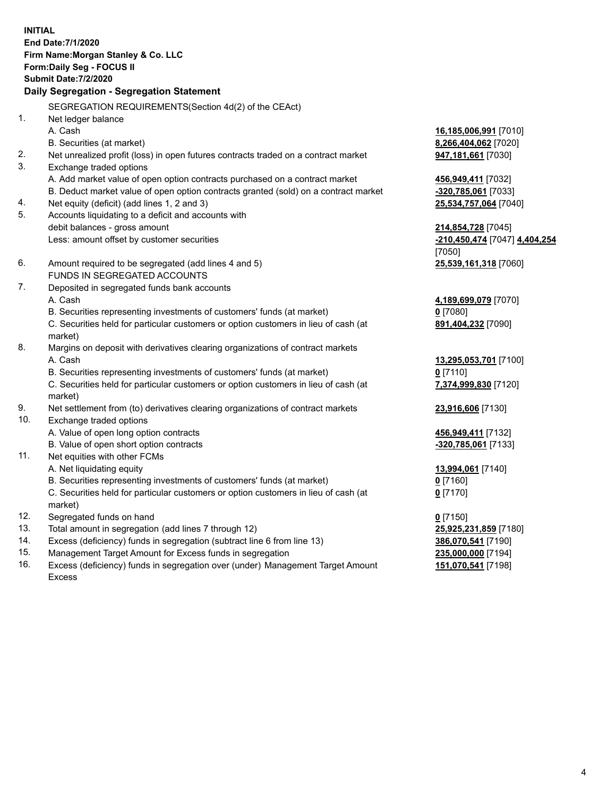| <b>INITIAL</b> | End Date: 7/1/2020<br>Firm Name: Morgan Stanley & Co. LLC<br>Form: Daily Seg - FOCUS II<br><b>Submit Date: 7/2/2020</b><br>Daily Segregation - Segregation Statement |                               |
|----------------|----------------------------------------------------------------------------------------------------------------------------------------------------------------------|-------------------------------|
|                |                                                                                                                                                                      |                               |
| 1.             | SEGREGATION REQUIREMENTS(Section 4d(2) of the CEAct)                                                                                                                 |                               |
|                | Net ledger balance                                                                                                                                                   |                               |
|                | A. Cash                                                                                                                                                              | 16,185,006,991 [7010]         |
| 2.             | B. Securities (at market)                                                                                                                                            | 8,266,404,062 [7020]          |
| 3.             | Net unrealized profit (loss) in open futures contracts traded on a contract market                                                                                   | 947,181,661 [7030]            |
|                | Exchange traded options                                                                                                                                              |                               |
|                | A. Add market value of open option contracts purchased on a contract market                                                                                          | 456,949,411 [7032]            |
| 4.             | B. Deduct market value of open option contracts granted (sold) on a contract market                                                                                  | -320,785,061 [7033]           |
| 5.             | Net equity (deficit) (add lines 1, 2 and 3)                                                                                                                          | 25,534,757,064 [7040]         |
|                | Accounts liquidating to a deficit and accounts with<br>debit balances - gross amount                                                                                 | 214,854,728 [7045]            |
|                | Less: amount offset by customer securities                                                                                                                           | -210,450,474 [7047] 4,404,254 |
|                |                                                                                                                                                                      | [7050]                        |
| 6.             | Amount required to be segregated (add lines 4 and 5)                                                                                                                 | 25,539,161,318 [7060]         |
|                | FUNDS IN SEGREGATED ACCOUNTS                                                                                                                                         |                               |
| 7.             | Deposited in segregated funds bank accounts                                                                                                                          |                               |
|                | A. Cash                                                                                                                                                              | 4,189,699,079 [7070]          |
|                | B. Securities representing investments of customers' funds (at market)                                                                                               | $0$ [7080]                    |
|                | C. Securities held for particular customers or option customers in lieu of cash (at                                                                                  | 891,404,232 [7090]            |
|                | market)                                                                                                                                                              |                               |
| 8.             | Margins on deposit with derivatives clearing organizations of contract markets                                                                                       |                               |
|                | A. Cash                                                                                                                                                              | 13,295,053,701 [7100]         |
|                | B. Securities representing investments of customers' funds (at market)                                                                                               | $0$ [7110]                    |
|                | C. Securities held for particular customers or option customers in lieu of cash (at                                                                                  | 7,374,999,830 [7120]          |
|                | market)                                                                                                                                                              |                               |
| 9.             | Net settlement from (to) derivatives clearing organizations of contract markets                                                                                      | 23,916,606 [7130]             |
| 10.            | Exchange traded options                                                                                                                                              |                               |
|                | A. Value of open long option contracts                                                                                                                               | 456,949,411 [7132]            |
|                | B. Value of open short option contracts                                                                                                                              | -320,785,061 [7133]           |
| 11.            | Net equities with other FCMs                                                                                                                                         |                               |
|                | A. Net liquidating equity                                                                                                                                            | 13,994,061 [7140]             |
|                | B. Securities representing investments of customers' funds (at market)                                                                                               | $0$ [7160]                    |
|                | C. Securities held for particular customers or option customers in lieu of cash (at                                                                                  | $0$ [7170]                    |
|                | market)                                                                                                                                                              |                               |
| 12.            | Segregated funds on hand                                                                                                                                             | $0$ [7150]                    |
| 13.            | Total amount in segregation (add lines 7 through 12)                                                                                                                 | 25,925,231,859 [7180]         |
| 14.            | Excess (deficiency) funds in segregation (subtract line 6 from line 13)                                                                                              | 386,070,541 [7190]            |
|                |                                                                                                                                                                      |                               |

15. Management Target Amount for Excess funds in segregation<br>16. Excess (deficiency) funds in segregation over (under) Management Target Amount 151,070,541 [7198] Excess (deficiency) funds in segregation over (under) Management Target Amount Excess

**151,070,541** [7198]